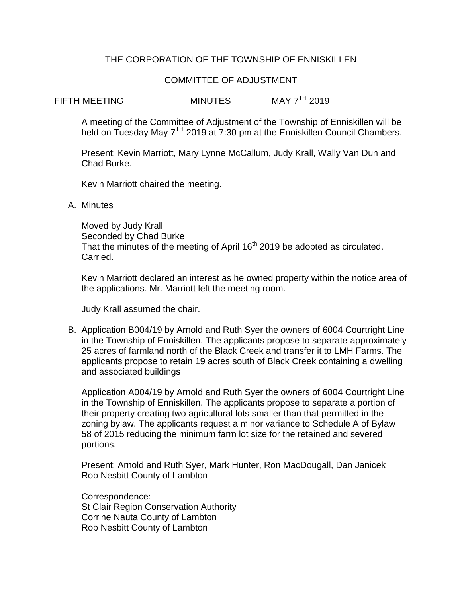# THE CORPORATION OF THE TOWNSHIP OF ENNISKILLEN

## COMMITTEE OF ADJUSTMENT

FIFTH MFFTING MINUTES MAY 7<sup>TH</sup> 2019

A meeting of the Committee of Adjustment of the Township of Enniskillen will be held on Tuesday May 7<sup>TH</sup> 2019 at 7:30 pm at the Enniskillen Council Chambers.

Present: Kevin Marriott, Mary Lynne McCallum, Judy Krall, Wally Van Dun and Chad Burke.

Kevin Marriott chaired the meeting.

A. Minutes

Moved by Judy Krall Seconded by Chad Burke That the minutes of the meeting of April 16<sup>th</sup> 2019 be adopted as circulated. Carried.

Kevin Marriott declared an interest as he owned property within the notice area of the applications. Mr. Marriott left the meeting room.

Judy Krall assumed the chair.

B. Application B004/19 by Arnold and Ruth Syer the owners of 6004 Courtright Line in the Township of Enniskillen. The applicants propose to separate approximately 25 acres of farmland north of the Black Creek and transfer it to LMH Farms. The applicants propose to retain 19 acres south of Black Creek containing a dwelling and associated buildings

Application A004/19 by Arnold and Ruth Syer the owners of 6004 Courtright Line in the Township of Enniskillen. The applicants propose to separate a portion of their property creating two agricultural lots smaller than that permitted in the zoning bylaw. The applicants request a minor variance to Schedule A of Bylaw 58 of 2015 reducing the minimum farm lot size for the retained and severed portions.

Present: Arnold and Ruth Syer, Mark Hunter, Ron MacDougall, Dan Janicek Rob Nesbitt County of Lambton

Correspondence: St Clair Region Conservation Authority Corrine Nauta County of Lambton Rob Nesbitt County of Lambton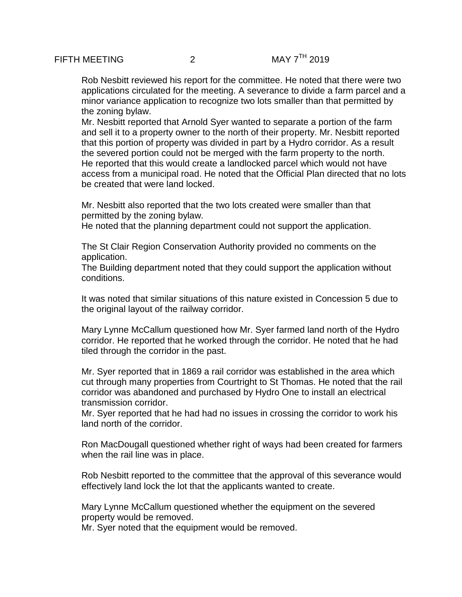Rob Nesbitt reviewed his report for the committee. He noted that there were two applications circulated for the meeting. A severance to divide a farm parcel and a minor variance application to recognize two lots smaller than that permitted by the zoning bylaw.

Mr. Nesbitt reported that Arnold Syer wanted to separate a portion of the farm and sell it to a property owner to the north of their property. Mr. Nesbitt reported that this portion of property was divided in part by a Hydro corridor. As a result the severed portion could not be merged with the farm property to the north. He reported that this would create a landlocked parcel which would not have access from a municipal road. He noted that the Official Plan directed that no lots be created that were land locked.

Mr. Nesbitt also reported that the two lots created were smaller than that permitted by the zoning bylaw.

He noted that the planning department could not support the application.

The St Clair Region Conservation Authority provided no comments on the application.

The Building department noted that they could support the application without conditions.

It was noted that similar situations of this nature existed in Concession 5 due to the original layout of the railway corridor.

Mary Lynne McCallum questioned how Mr. Syer farmed land north of the Hydro corridor. He reported that he worked through the corridor. He noted that he had tiled through the corridor in the past.

Mr. Syer reported that in 1869 a rail corridor was established in the area which cut through many properties from Courtright to St Thomas. He noted that the rail corridor was abandoned and purchased by Hydro One to install an electrical transmission corridor.

Mr. Syer reported that he had had no issues in crossing the corridor to work his land north of the corridor.

Ron MacDougall questioned whether right of ways had been created for farmers when the rail line was in place.

Rob Nesbitt reported to the committee that the approval of this severance would effectively land lock the lot that the applicants wanted to create.

Mary Lynne McCallum questioned whether the equipment on the severed property would be removed.

Mr. Syer noted that the equipment would be removed.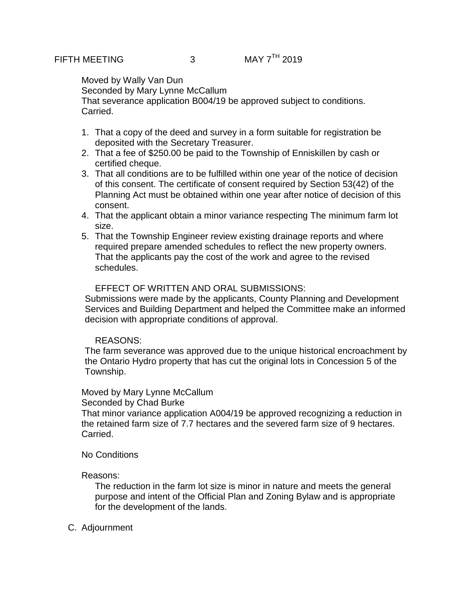Moved by Wally Van Dun Seconded by Mary Lynne McCallum That severance application B004/19 be approved subject to conditions. Carried.

- 1. That a copy of the deed and survey in a form suitable for registration be deposited with the Secretary Treasurer.
- 2. That a fee of \$250.00 be paid to the Township of Enniskillen by cash or certified cheque.
- 3. That all conditions are to be fulfilled within one year of the notice of decision of this consent. The certificate of consent required by Section 53(42) of the Planning Act must be obtained within one year after notice of decision of this consent.
- 4. That the applicant obtain a minor variance respecting The minimum farm lot size.
- 5. That the Township Engineer review existing drainage reports and where required prepare amended schedules to reflect the new property owners. That the applicants pay the cost of the work and agree to the revised schedules.

### EFFECT OF WRITTEN AND ORAL SUBMISSIONS:

Submissions were made by the applicants, County Planning and Development Services and Building Department and helped the Committee make an informed decision with appropriate conditions of approval.

## REASONS:

The farm severance was approved due to the unique historical encroachment by the Ontario Hydro property that has cut the original lots in Concession 5 of the Township.

## Moved by Mary Lynne McCallum

Seconded by Chad Burke

That minor variance application A004/19 be approved recognizing a reduction in the retained farm size of 7.7 hectares and the severed farm size of 9 hectares. Carried.

#### No Conditions

#### Reasons:

The reduction in the farm lot size is minor in nature and meets the general purpose and intent of the Official Plan and Zoning Bylaw and is appropriate for the development of the lands.

#### C. Adjournment